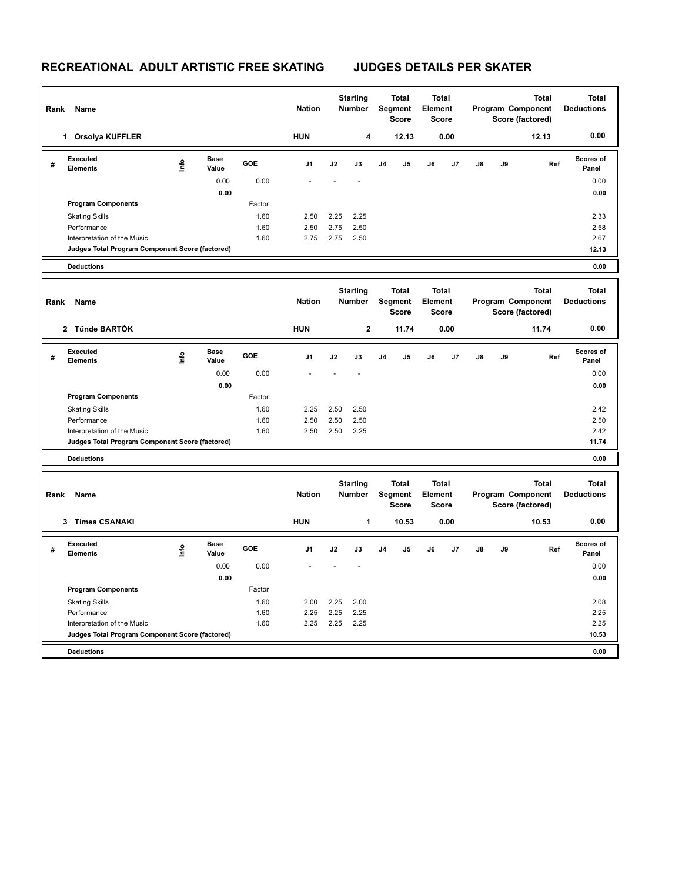## **RECREATIONAL ADULT ARTISTIC FREE SKATING JUDGES DETAILS PER SKATER**

h

| Rank | Name                                               |                                  |                      |                | <b>Nation</b>                                     |                                  | <b>Starting</b><br><b>Number</b>        |                                         | <b>Total</b><br>Segment<br><b>Score</b> | <b>Total</b><br>Element<br><b>Score</b> |                                                       |                                                       |    | <b>Total</b><br>Program Component<br>Score (factored) | <b>Total</b><br><b>Deductions</b> |
|------|----------------------------------------------------|----------------------------------|----------------------|----------------|---------------------------------------------------|----------------------------------|-----------------------------------------|-----------------------------------------|-----------------------------------------|-----------------------------------------|-------------------------------------------------------|-------------------------------------------------------|----|-------------------------------------------------------|-----------------------------------|
|      | 1 Orsolya KUFFLER                                  |                                  |                      |                | <b>HUN</b>                                        |                                  | 4                                       |                                         | 12.13                                   |                                         | 0.00                                                  |                                                       |    | 12.13                                                 | 0.00                              |
| #    | Executed<br><b>Elements</b>                        | lnfo                             | <b>Base</b><br>Value | GOE            | J <sub>1</sub>                                    | J2                               | J3                                      | J <sub>4</sub>                          | J5                                      | J6                                      | J7                                                    | J8                                                    | J9 | Ref                                                   | Scores of<br>Panel                |
|      |                                                    |                                  | 0.00                 | 0.00           |                                                   |                                  |                                         |                                         |                                         |                                         |                                                       |                                                       |    |                                                       | 0.00                              |
|      | <b>Program Components</b>                          |                                  | 0.00                 | Factor         |                                                   |                                  |                                         |                                         |                                         |                                         |                                                       |                                                       |    |                                                       | 0.00                              |
|      | <b>Skating Skills</b>                              |                                  |                      | 1.60           | 2.50                                              | 2.25                             | 2.25                                    |                                         |                                         |                                         |                                                       |                                                       |    |                                                       | 2.33                              |
|      | Performance                                        |                                  |                      | 1.60           | 2.50                                              | 2.75                             | 2.50                                    |                                         |                                         |                                         |                                                       |                                                       |    |                                                       | 2.58                              |
|      | Interpretation of the Music                        |                                  |                      | 1.60           | 2.75                                              | 2.75                             | 2.50                                    |                                         |                                         |                                         |                                                       |                                                       |    |                                                       | 2.67                              |
|      | Judges Total Program Component Score (factored)    |                                  |                      |                |                                                   |                                  |                                         |                                         |                                         |                                         |                                                       |                                                       |    |                                                       | 12.13                             |
|      | <b>Deductions</b>                                  |                                  |                      |                |                                                   |                                  |                                         |                                         |                                         |                                         |                                                       |                                                       |    |                                                       | 0.00                              |
| Rank | Name                                               |                                  |                      |                | <b>Starting</b><br><b>Nation</b><br><b>Number</b> |                                  | <b>Total</b><br>Segment<br><b>Score</b> |                                         | <b>Total</b><br>Element<br><b>Score</b> |                                         | <b>Total</b><br>Program Component<br>Score (factored) |                                                       |    | <b>Total</b><br><b>Deductions</b>                     |                                   |
|      | 2 Tünde BARTÓK                                     |                                  |                      |                | <b>HUN</b>                                        |                                  | $\mathbf 2$                             |                                         | 11.74                                   |                                         | 0.00                                                  |                                                       |    | 11.74                                                 | 0.00                              |
| #    | <b>Executed</b><br><b>Elements</b>                 | lnfo                             | <b>Base</b><br>Value | GOE            | J1                                                | J2                               | J3                                      | J <sub>4</sub>                          | J5                                      | J6                                      | J7                                                    | J8                                                    | J9 | Ref                                                   | <b>Scores of</b><br>Panel         |
|      |                                                    |                                  | 0.00                 | 0.00           |                                                   |                                  |                                         |                                         |                                         |                                         |                                                       |                                                       |    |                                                       | 0.00                              |
|      |                                                    |                                  | 0.00                 |                |                                                   |                                  |                                         |                                         |                                         |                                         |                                                       |                                                       |    |                                                       | 0.00                              |
|      | <b>Program Components</b><br><b>Skating Skills</b> |                                  |                      | Factor<br>1.60 | 2.25                                              | 2.50                             | 2.50                                    |                                         |                                         |                                         |                                                       |                                                       |    |                                                       | 2.42                              |
|      | Performance                                        |                                  |                      | 1.60           | 2.50                                              | 2.50                             | 2.50                                    |                                         |                                         |                                         |                                                       |                                                       |    |                                                       | 2.50                              |
|      | Interpretation of the Music                        |                                  |                      | 1.60           | 2.50                                              | 2.50                             | 2.25                                    |                                         |                                         |                                         |                                                       |                                                       |    |                                                       | 2.42                              |
|      | Judges Total Program Component Score (factored)    |                                  |                      |                |                                                   |                                  |                                         |                                         |                                         |                                         |                                                       |                                                       |    |                                                       | 11.74                             |
|      | <b>Deductions</b>                                  |                                  |                      |                |                                                   |                                  |                                         |                                         |                                         |                                         |                                                       |                                                       |    |                                                       | 0.00                              |
| Rank | Name                                               |                                  |                      |                | <b>Nation</b>                                     | <b>Starting</b><br><b>Number</b> |                                         | <b>Total</b><br>Segment<br><b>Score</b> |                                         | <b>Total</b><br>Element<br><b>Score</b> |                                                       | <b>Total</b><br>Program Component<br>Score (factored) |    |                                                       | <b>Total</b><br><b>Deductions</b> |
|      | 3 Tímea CSANAKI                                    |                                  |                      |                | <b>HUN</b>                                        |                                  | 1                                       |                                         | 10.53                                   |                                         | 0.00                                                  |                                                       |    | 10.53                                                 | 0.00                              |
| #    | <b>Executed</b><br><b>Elements</b>                 | $\mathop{\mathsf{Int}}\nolimits$ | <b>Base</b><br>Value | GOE            | J1                                                | J2                               | J3                                      | J <sub>4</sub>                          | J <sub>5</sub>                          | J6                                      | J7                                                    | J8                                                    | J9 | Ref                                                   | <b>Scores of</b><br>Panel         |
|      |                                                    |                                  | 0.00                 | 0.00           |                                                   |                                  |                                         |                                         |                                         |                                         |                                                       |                                                       |    |                                                       | 0.00                              |
|      | <b>Program Components</b>                          |                                  | 0.00                 | Factor         |                                                   |                                  |                                         |                                         |                                         |                                         |                                                       |                                                       |    |                                                       | 0.00                              |
|      | <b>Skating Skills</b>                              |                                  |                      | 1.60           | 2.00                                              | 2.25                             | 2.00                                    |                                         |                                         |                                         |                                                       |                                                       |    |                                                       | 2.08                              |
|      | Performance                                        |                                  |                      | 1.60           | 2.25                                              | 2.25                             | 2.25                                    |                                         |                                         |                                         |                                                       |                                                       |    |                                                       | 2.25                              |
|      | Interpretation of the Music                        |                                  |                      | 1.60           | 2.25                                              | 2.25                             | 2.25                                    |                                         |                                         |                                         |                                                       |                                                       |    |                                                       | 2.25                              |
|      | Judges Total Program Component Score (factored)    |                                  |                      |                |                                                   |                                  |                                         |                                         |                                         |                                         |                                                       |                                                       |    |                                                       | 10.53                             |
|      | <b>Deductions</b>                                  |                                  |                      |                |                                                   |                                  |                                         |                                         |                                         |                                         |                                                       |                                                       |    |                                                       | 0.00                              |